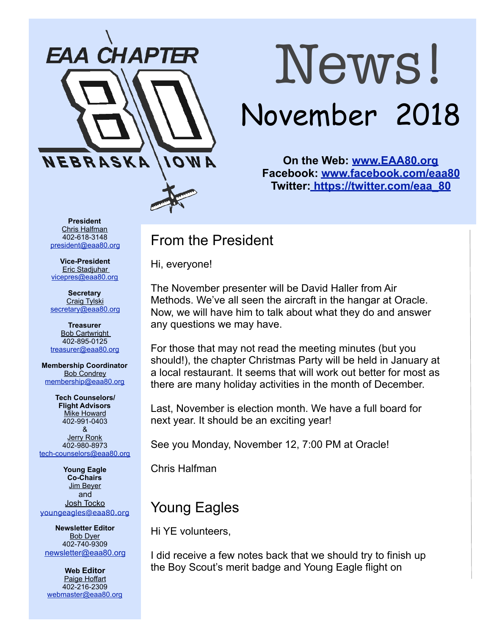

# News! November 2018

**On the Web: [www.EAA80.org](http://www.EAA80.org) Facebook: [www.facebook.com/eaa80](http://www.facebook.com/eaa80) Twitter[: https://twitter.com/eaa\\_80](https://twitter.com/eaa_80)**

**President**  Chris Halfman 402-618-3148 [president@eaa80.org](mailto:president@eaa80.org)

**Vice-President**  Eric Stadjuhar [vicepres@eaa80.org](mailto:vicepres@eaa80.org) 

**Secretary**  Craig Tylski [secretary@eaa80.org](mailto:secretary@eaa80.org)

**Treasurer**  Bob Cartwright 402-895-0125 [treasurer@eaa80.org](mailto:treasurer@eaa80.org)

**Membership Coordinator**  Bob Condrey [membership@eaa80.org](mailto:membership@eaa80.org) 

**Tech Counselors/ Flight Advisors Mike Howard** 402-991-0403 & Jerry Ronk 402-980-8973 [tech-counselors@eaa80.org](mailto:tech-counselors@eaa80.org) 

**Young Eagle Co-Chairs**  Jim Beyer and Josh Tocko [youngeagles@eaa80.org](mailto:youngeagles@eaa80.org)

**Newsletter Editor**  Bob Dyer 402-740-9309 [newsletter@eaa80.org](mailto:newsletter@eaa80.org)

**Web Editor**  Paige Hoffart 402-216-2309 [webmaster@eaa80.org](mailto:webmaster@eaa80.org)

# From the President

Hi, everyone!

The November presenter will be David Haller from Air Methods. We've all seen the aircraft in the hangar at Oracle. Now, we will have him to talk about what they do and answer any questions we may have.

For those that may not read the meeting minutes (but you should!), the chapter Christmas Party will be held in January at a local restaurant. It seems that will work out better for most as there are many holiday activities in the month of December.

Last, November is election month. We have a full board for next year. It should be an exciting year!

See you Monday, November 12, 7:00 PM at Oracle!

Chris Halfman

# Young Eagles

Hi YE volunteers,

I did receive a few notes back that we should try to finish up the Boy Scout's merit badge and Young Eagle flight on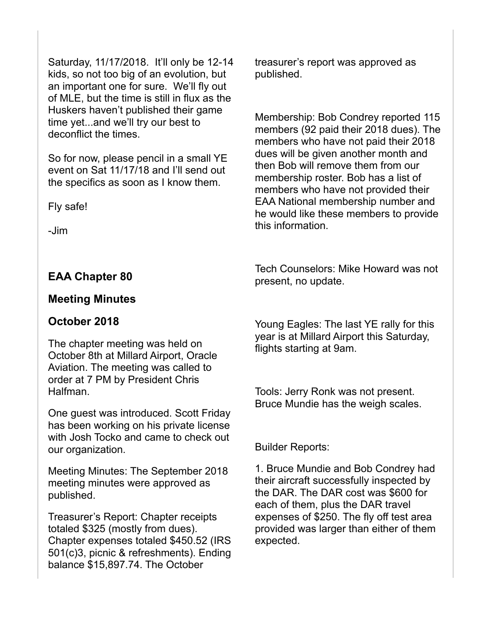Saturday, 11/17/2018. It'll only be 12-14 kids, so not too big of an evolution, but an important one for sure. We'll fly out of MLE, but the time is still in flux as the Huskers haven't published their game time yet...and we'll try our best to deconflict the times.

So for now, please pencil in a small YE event on Sat 11/17/18 and I'll send out the specifics as soon as I know them.

Fly safe!

-Jim

#### **EAA Chapter 80**

#### **Meeting Minutes**

#### **October 2018**

The chapter meeting was held on October 8th at Millard Airport, Oracle Aviation. The meeting was called to order at 7 PM by President Chris Halfman.

One guest was introduced. Scott Friday has been working on his private license with Josh Tocko and came to check out our organization.

Meeting Minutes: The September 2018 meeting minutes were approved as published.

Treasurer's Report: Chapter receipts totaled \$325 (mostly from dues). Chapter expenses totaled \$450.52 (IRS 501(c)3, picnic & refreshments). Ending balance \$15,897.74. The October

treasurer's report was approved as published.

Membership: Bob Condrey reported 115 members (92 paid their 2018 dues). The members who have not paid their 2018 dues will be given another month and then Bob will remove them from our membership roster. Bob has a list of members who have not provided their EAA National membership number and he would like these members to provide this information.

Tech Counselors: Mike Howard was not present, no update.

Young Eagles: The last YE rally for this year is at Millard Airport this Saturday, flights starting at 9am.

Tools: Jerry Ronk was not present. Bruce Mundie has the weigh scales.

Builder Reports:

1. Bruce Mundie and Bob Condrey had their aircraft successfully inspected by the DAR. The DAR cost was \$600 for each of them, plus the DAR travel expenses of \$250. The fly off test area provided was larger than either of them expected.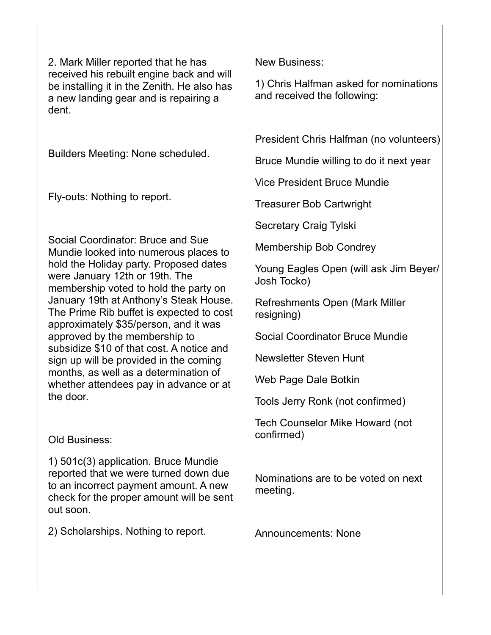2. Mark Miller reported that he has received his rebuilt engine back and will be installing it in the Zenith. He also has a new landing gear and is repairing a dent.

Builders Meeting: None scheduled.

Fly-outs: Nothing to report.

Social Coordinator: Bruce and Sue Mundie looked into numerous places to hold the Holiday party. Proposed dates were January 12th or 19th. The membership voted to hold the party on January 19th at Anthony's Steak House. The Prime Rib buffet is expected to cost approximately \$35/person, and it was approved by the membership to subsidize \$10 of that cost. A notice and sign up will be provided in the coming months, as well as a determination of whether attendees pay in advance or at the door.

Old Business:

1) 501c(3) application. Bruce Mundie reported that we were turned down due to an incorrect payment amount. A new check for the proper amount will be sent out soon.

2) Scholarships. Nothing to report.

New Business:

1) Chris Halfman asked for nominations and received the following:

President Chris Halfman (no volunteers)

Bruce Mundie willing to do it next year

Vice President Bruce Mundie

Treasurer Bob Cartwright

Secretary Craig Tylski

Membership Bob Condrey

Young Eagles Open (will ask Jim Beyer/ Josh Tocko)

Refreshments Open (Mark Miller resigning)

Social Coordinator Bruce Mundie

Newsletter Steven Hunt

Web Page Dale Botkin

Tools Jerry Ronk (not confirmed)

Tech Counselor Mike Howard (not confirmed)

Nominations are to be voted on next meeting.

Announcements: None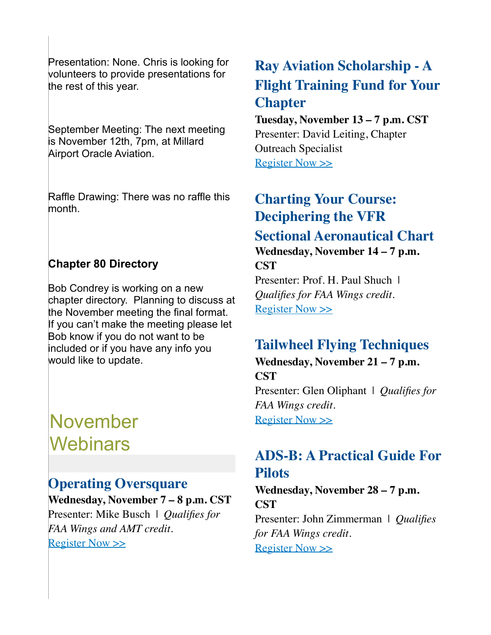Presentation: None. Chris is looking for volunteers to provide presentations for the rest of this year.

September Meeting: The next meeting is November 12th, 7pm, at Millard Airport Oracle Aviation.

Raffle Drawing: There was no raffle this month.

#### **Chapter 80 Directory**

Bob Condrey is working on a new chapter directory. Planning to discuss at the November meeting the final format. If you can't make the meeting please let Bob know if you do not want to be included or if you have any info you would like to update.

# November **Webinars**

#### **Operating Oversquare**

**Wednesday, November 7 – 8 p.m. CST** Presenter: Mike Busch | *Qualifies for FAA Wings and AMT credit.* [Register Now >>](http://go.eaa.org/tOUH3V0ISm0B401KE1000fv)

# **Ray Aviation Scholarship - A Flight Training Fund for Your Chapter**

#### **Tuesday, November 13 – 7 p.m. CST** Presenter: David Leiting, Chapter Outreach Specialist [Register Now >>](http://go.eaa.org/HS0031V0KH5mIU10BfE00wO)

## **Charting Your Course: Deciphering the VFR Sectional Aeronautical Chart Wednesday, November 14 – 7 p.m. CST**

Presenter: Prof. H. Paul Shuch | *Qualifies for FAA Wings credit.* [Register Now >>](http://go.eaa.org/n0SH0x603VKB0UE0mf01OI1)

## **Tailwheel Flying Techniques**

**Wednesday, November 21 – 7 p.m. CST** Presenter: Glen Oliphant | *Qualifies for FAA Wings credit.*

[Register Now >>](http://go.eaa.org/CEH0070yB0IS0KOm3V1fU01)

## **ADS-B: A Practical Guide For Pilots**

**Wednesday, November 28 – 7 p.m. CST** Presenter: John Zimmerman | *Qualifies for FAA Wings credit.* [Register Now >>](http://go.eaa.org/eK1mzU03000ESI0V1f8BH0O)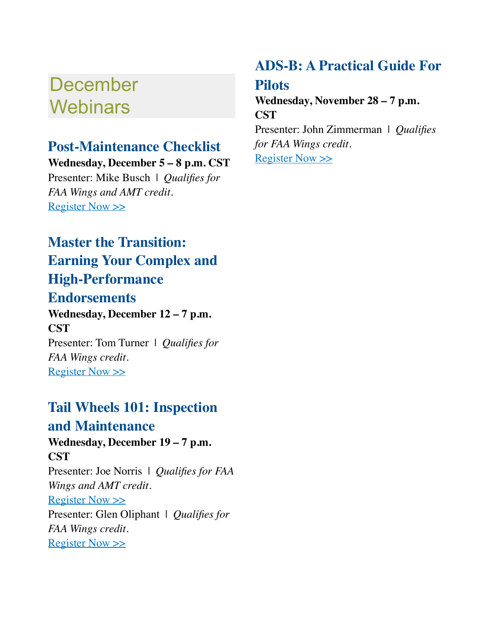# December **Webinars**

## **Post-Maintenance Checklist**

**Wednesday, December 5 – 8 p.m. CST** Presenter: Mike Busch | *Qualifies for FAA Wings and AMT credit.* [Register Now >>](http://go.eaa.org/wEmUK1OSB0010Hf900V3A0I)

# **Master the Transition: Earning Your Complex and High-Performance**

#### **Endorsements**

**Wednesday, December 12 – 7 p.m. CST** Presenter: Tom Turner | *Qualifies for FAA Wings credit.* [Register Now >>](http://go.eaa.org/XOB0HaE0K100UI1mV03fSB0)

# **Tail Wheels 101: Inspection**

#### **and Maintenance**

**Wednesday, December 19 – 7 p.m. CST**

Presenter: Joe Norris | *Qualifies for FAA Wings and AMT credit.* [Register Now >>](http://go.eaa.org/JE3BSV0CfU0KbIm1OH00010) Presenter: Glen Oliphant | *Qualifies for FAA Wings credit.* [Register Now >>](http://go.eaa.org/c0113VHS0BKE0cOUf0mYt00)

# **ADS-B: A Practical Guide For**

#### **Pilots**

**Wednesday, November 28 – 7 p.m. CST**

Presenter: John Zimmerman | *Qualifies for FAA Wings credit.* [Register Now >>](http://go.eaa.org/FcmEB00Zg1S0H3tV000UOK1)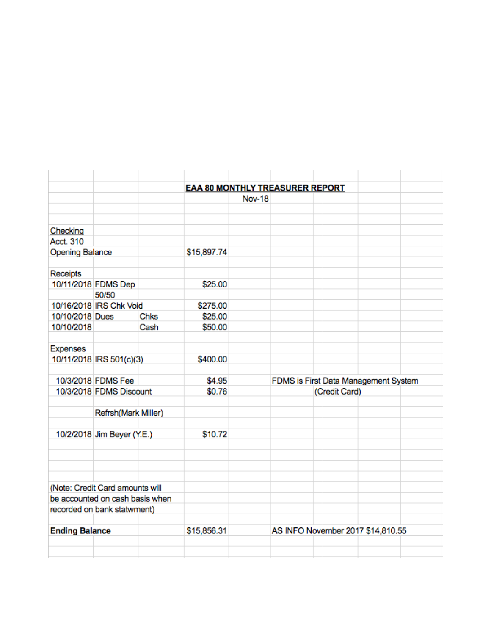|                        |                                 |             | <b>EAA 80 MONTHLY TREASURER REPORT</b> |               |                                                       |                                   |  |  |
|------------------------|---------------------------------|-------------|----------------------------------------|---------------|-------------------------------------------------------|-----------------------------------|--|--|
|                        |                                 |             |                                        | <b>Nov-18</b> |                                                       |                                   |  |  |
|                        |                                 |             |                                        |               |                                                       |                                   |  |  |
|                        |                                 |             |                                        |               |                                                       |                                   |  |  |
| Checking               |                                 |             |                                        |               |                                                       |                                   |  |  |
| Acct. 310              |                                 |             |                                        |               |                                                       |                                   |  |  |
| <b>Opening Balance</b> |                                 |             | \$15,897.74                            |               |                                                       |                                   |  |  |
|                        |                                 |             |                                        |               |                                                       |                                   |  |  |
| Receipts               |                                 |             |                                        |               |                                                       |                                   |  |  |
|                        | 10/11/2018 FDMS Dep             |             | \$25.00                                |               |                                                       |                                   |  |  |
|                        | 50/50                           |             |                                        |               |                                                       |                                   |  |  |
|                        | 10/16/2018 IRS Chk Void         |             | \$275.00                               |               |                                                       |                                   |  |  |
| 10/10/2018 Dues        |                                 | Chks        | \$25.00                                |               |                                                       |                                   |  |  |
| 10/10/2018             |                                 | Cash        | \$50.00                                |               |                                                       |                                   |  |  |
|                        |                                 |             |                                        |               |                                                       |                                   |  |  |
| <b>Expenses</b>        |                                 |             |                                        |               |                                                       |                                   |  |  |
|                        | 10/11/2018 IRS 501(c)(3)        |             | \$400.00                               |               |                                                       |                                   |  |  |
|                        | 10/3/2018 FDMS Fee              |             | \$4.95                                 |               |                                                       |                                   |  |  |
|                        | 10/3/2018 FDMS Discount         |             | \$0.76                                 |               | FDMS is First Data Management System<br>(Credit Card) |                                   |  |  |
|                        |                                 |             |                                        |               |                                                       |                                   |  |  |
|                        | Refrsh(Mark Miller)             |             |                                        |               |                                                       |                                   |  |  |
|                        |                                 |             |                                        |               |                                                       |                                   |  |  |
|                        | 10/2/2018 Jim Beyer (Y.E.)      |             | \$10.72                                |               |                                                       |                                   |  |  |
|                        |                                 |             |                                        |               |                                                       |                                   |  |  |
|                        |                                 |             |                                        |               |                                                       |                                   |  |  |
|                        |                                 |             |                                        |               |                                                       |                                   |  |  |
|                        |                                 |             |                                        |               |                                                       |                                   |  |  |
|                        | (Note: Credit Card amounts will |             |                                        |               |                                                       |                                   |  |  |
|                        | be accounted on cash basis when |             |                                        |               |                                                       |                                   |  |  |
|                        | recorded on bank statwment)     |             |                                        |               |                                                       |                                   |  |  |
|                        |                                 |             |                                        |               |                                                       |                                   |  |  |
| <b>Ending Balance</b>  |                                 | \$15,856.31 |                                        |               |                                                       | AS INFO November 2017 \$14,810.55 |  |  |
|                        |                                 |             |                                        |               |                                                       |                                   |  |  |
|                        |                                 |             |                                        |               |                                                       |                                   |  |  |